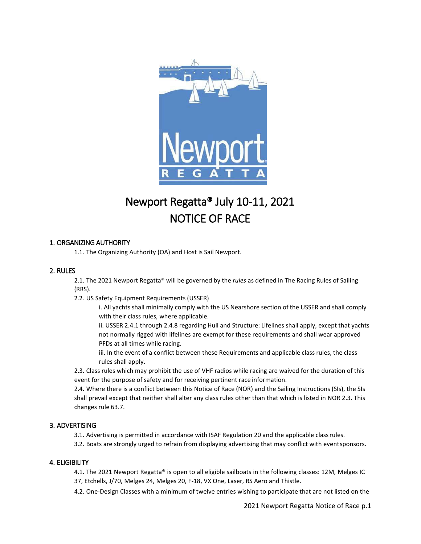

# Newport Regatta® July 10-11, 2021 NOTICE OF RACE

## 1. ORGANIZING AUTHORITY

1.1. The Organizing Authority (OA) and Host is Sail Newport.

## 2. RULES

2.1. The 2021 Newport Regatta® will be governed by the *rules* as defined in The Racing Rules of Sailing (RRS).

2.2. US Safety Equipment Requirements (USSER)

i. All yachts shall minimally comply with the US Nearshore section of the USSER and shall comply with their class rules, where applicable.

ii. USSER 2.4.1 through 2.4.8 regarding Hull and Structure: Lifelines shall apply, except that yachts not normally rigged with lifelines are exempt for these requirements and shall wear approved PFDs at all times while racing.

iii. In the event of a conflict between these Requirements and applicable class rules, the class rules shall apply.

2.3. Class rules which may prohibit the use of VHF radios while racing are waived for the duration of this event for the purpose of safety and for receiving pertinent race information.

2.4. Where there is a conflict between this Notice of Race (NOR) and the Sailing Instructions (SIs), the SIs shall prevail except that neither shall alter any class rules other than that which is listed in NOR 2.3. This changes rule 63.7.

# 3. ADVERTISING

3.1. Advertising is permitted in accordance with ISAF Regulation 20 and the applicable classrules.

3.2. Boats are strongly urged to refrain from displaying advertising that may conflict with eventsponsors.

## 4. ELIGIBILITY

4.1. The 2021 Newport Regatta® is open to all eligible sailboats in the following classes: 12M, Melges IC 37, Etchells, J/70, Melges 24, Melges 20, F-18, VX One, Laser, RS Aero and Thistle.

4.2. One-Design Classes with a minimum of twelve entries wishing to participate that are not listed on the

2021 Newport Regatta Notice of Race p.1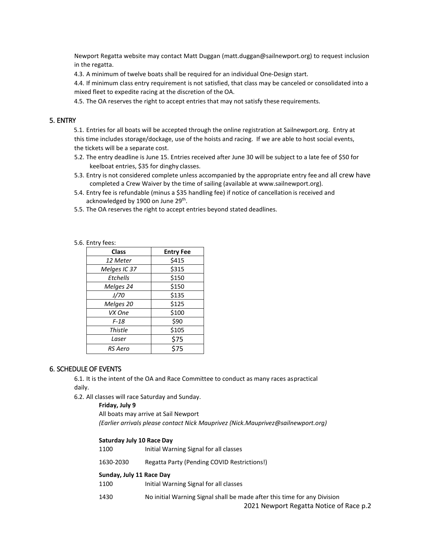Newport Regatta website may contact Matt Duggan (matt.duggan@sailnewport.org) to request inclusion in the regatta.

4.3. A minimum of twelve boats shall be required for an individual One-Design start.

4.4. If minimum class entry requirement is not satisfied, that class may be canceled or consolidated into a mixed fleet to expedite racing at the discretion of the OA.

4.5. The OA reserves the right to accept entries that may not satisfy these requirements.

#### 5. ENTRY

5.1. Entries for all boats will be accepted through the online registration at Sailnewport.org. Entry at this time includes storage/dockage, use of the hoists and racing. If we are able to host social events, the tickets will be a separate cost.

- 5.2. The entry deadline is June 15. Entries received after June 30 will be subject to a late fee of \$50 for keelboat entries, \$35 for dinghy classes.
- 5.3. Entry is not considered complete unless accompanied by the appropriate entry fee and all crew have completed a Crew Waiver by the time of sailing (available at www.sailnewport.org).
- 5.4. Entry fee is refundable (minus a \$35 handling fee) if notice of cancellation is received and acknowledged by 1900 on June 29<sup>th</sup>.
- 5.5. The OA reserves the right to accept entries beyond stated deadlines.

#### 5.6. Entry fees:

| <b>Class</b> | <b>Entry Fee</b> |
|--------------|------------------|
| 12 Meter     | \$415            |
| Melges IC 37 | \$315            |
| Etchells     | \$150            |
| Melges 24    | \$150            |
| J/70         | \$135            |
| Melges 20    | \$125            |
| VX One       | \$100            |
| F-18         | \$90             |
| Thistle      | \$105            |
| Laser        | \$75             |
| RS Aero      | \$75             |

#### 6. SCHEDULE OF EVENTS

6.1. It is the intent of the OA and Race Committee to conduct as many races aspractical daily.

6.2. All classes will race Saturday and Sunday.

#### **Friday, July 9**

All boats may arrive at Sail Newport *(Earlier arrivals please contact Nick Mauprivez (Nick.Mauprivez@sailnewport.org)*

#### **Saturday July 10 Race Day**

1100 Initial Warning Signal for all classes

1630-2030 Regatta Party (Pending COVID Restrictions!)

#### **Sunday, July 11 Race Day**

1100 Initial Warning Signal for all classes

1430 No initial Warning Signal shall be made after this time for any Division

2021 Newport Regatta Notice of Race p.2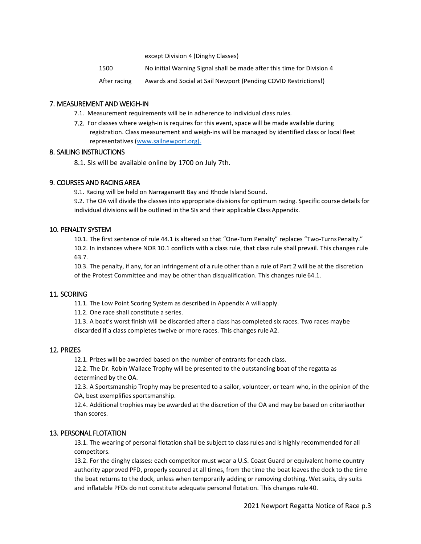except Division 4 (Dinghy Classes)

1500 No initial Warning Signal shall be made after this time for Division 4

After racing Awards and Social at Sail Newport (Pending COVID Restrictions!)

## 7. MEASUREMENT AND WEIGH-IN

- 7.1. Measurement requirements will be in adherence to individual class rules.
- 7.2. For classes where weigh-in is requires for this event, space will be made available during registration. Class measurement and weigh-ins will be managed by identified class or local fleet representatives (www.sailnewport.org).

## 8. SAILING INSTRUCTIONS

8.1. SIs will be available online by 1700 on July 7th.

## 9. COURSES AND RACING AREA

9.1. Racing will be held on Narragansett Bay and Rhode Island Sound.

9.2. The OA will divide the classes into appropriate divisions for optimum racing. Specific course details for individual divisions will be outlined in the SIs and their applicable Class Appendix.

## 10. PENALTY SYSTEM

10.1. The first sentence of rule 44.1 is altered so that "One-Turn Penalty" replaces "Two-TurnsPenalty." 10.2. In instances where NOR 10.1 conflicts with a class rule, that class rule shall prevail. This changes rule

63.7.

10.3. The penalty, if any, for an infringement of a rule other than a rule of Part 2 will be at the discretion of the Protest Committee and may be other than disqualification. This changes rule 64.1.

## 11. SCORING

11.1. The Low Point Scoring System as described in Appendix A will apply.

11.2. One race shall constitute a series.

11.3. A boat's worst finish will be discarded after a class has completed six races. Two races maybe discarded if a class completes twelve or more races. This changes rule A2.

## 12. PRIZES

12.1. Prizes will be awarded based on the number of entrants for each class.

12.2. The Dr. Robin Wallace Trophy will be presented to the outstanding boat of the regatta as determined by the OA.

12.3. A Sportsmanship Trophy may be presented to a sailor, volunteer, or team who, in the opinion of the OA, best exemplifies sportsmanship.

12.4. Additional trophies may be awarded at the discretion of the OA and may be based on criteriaother than scores.

## 13. PERSONAL FLOTATION

13.1. The wearing of personal flotation shall be subject to class rules and is highly recommended for all competitors.

13.2. For the dinghy classes: each competitor must wear a U.S. Coast Guard or equivalent home country authority approved PFD, properly secured at all times, from the time the boat leaves the dock to the time the boat returns to the dock, unless when temporarily adding or removing clothing. Wet suits, dry suits and inflatable PFDs do not constitute adequate personal flotation. This changes rule 40.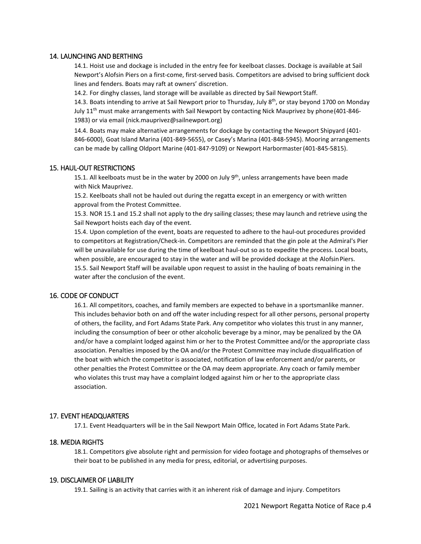## 14. LAUNCHING AND BERTHING

14.1. Hoist use and dockage is included in the entry fee for keelboat classes. Dockage is available at Sail Newport's Alofsin Piers on a first-come, first-served basis. Competitors are advised to bring sufficient dock lines and fenders. Boats may raft at owners' discretion.

14.2. For dinghy classes, land storage will be available as directed by Sail Newport Staff.

14.3. Boats intending to arrive at Sail Newport prior to Thursday, July 8<sup>th</sup>, or stay beyond 1700 on Monday July 11th must make arrangements with Sail Newport by contacting Nick Mauprivez by phone(401-846- 1983) or via email (nick.mauprivez@sailnewport.org)

14.4. Boats may make alternative arrangements for dockage by contacting the Newport Shipyard (401- 846-6000), Goat Island Marina (401-849-5655), or Casey's Marina (401-848-5945). Mooring arrangements can be made by calling Oldport Marine (401-847-9109) or Newport Harbormaster(401-845-5815).

## 15. HAUL-OUT RESTRICTIONS

15.1. All keelboats must be in the water by 2000 on July 9<sup>th</sup>, unless arrangements have been made with Nick Mauprivez.

15.2. Keelboats shall not be hauled out during the regatta except in an emergency or with written approval from the Protest Committee.

15.3. NOR 15.1 and 15.2 shall not apply to the dry sailing classes; these may launch and retrieve using the Sail Newport hoists each day of the event.

15.4. Upon completion of the event, boats are requested to adhere to the haul-out procedures provided to competitors at Registration/Check-in. Competitors are reminded that the gin pole at the Admiral's Pier will be unavailable for use during the time of keelboat haul-out so as to expedite the process. Local boats, when possible, are encouraged to stay in the water and will be provided dockage at the Alofsin Piers. 15.5. Sail Newport Staff will be available upon request to assist in the hauling of boats remaining in the water after the conclusion of the event.

## 16. CODE OF CONDUCT

16.1. All competitors, coaches, and family members are expected to behave in a sportsmanlike manner. This includes behavior both on and off the water including respect for all other persons, personal property of others, the facility, and Fort Adams State Park. Any competitor who violates this trust in any manner, including the consumption of beer or other alcoholic beverage by a minor, may be penalized by the OA and/or have a complaint lodged against him or her to the Protest Committee and/or the appropriate class association. Penalties imposed by the OA and/or the Protest Committee may include disqualification of the boat with which the competitor is associated, notification of law enforcement and/or parents, or other penalties the Protest Committee or the OA may deem appropriate. Any coach or family member who violates this trust may have a complaint lodged against him or her to the appropriate class association.

## 17. EVENT HEADQUARTERS

17.1. Event Headquarters will be in the Sail Newport Main Office, located in Fort Adams State Park.

## 18. MEDIA RIGHTS

18.1. Competitors give absolute right and permission for video footage and photographs of themselves or their boat to be published in any media for press, editorial, or advertising purposes.

#### 19. DISCLAIMER OF LIABILITY

19.1. Sailing is an activity that carries with it an inherent risk of damage and injury. Competitors